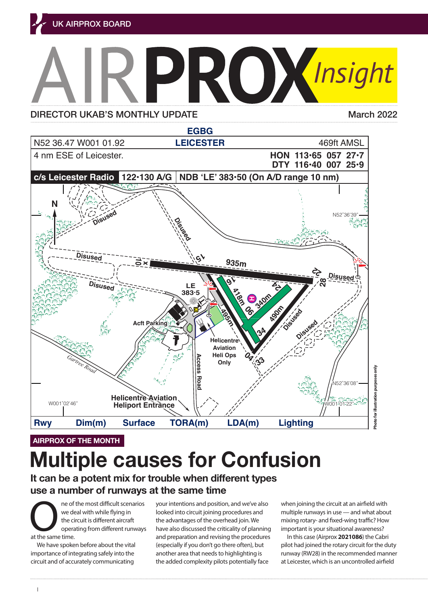

DIRECTOR UKAB'S MONTHLY UPDATE Marc[h 2022](https://www.airproxboard.org.uk/uploadedFiles/Content/Standard_content/Airprox_report_files/2020/Airprox%20Report%202020090.pdf)



**AIRPROX OF THE MONTH**

## 04/22 490x18 Asphalt 04-490 Nilson 04-490 Nilson 04-490 Nilson 04-490 Nilson 04-490 Nilson 04-490 Nilson 04-49 Multinla causas for Confus **Multiple causes for Confusion**

It can be a potent mix for trouble when different types use a number of runways at the same time

**Op hrs:** PPR. 0800-1700 daily, and by arrangement.

**33-495 The of the most difficult scenarios** your intentions and position, and we've also wh The of the most difficult scenarios<br>
we deal with while flying in<br>
the circuit is different aircraft<br>
operating from different runways<br>
at the same time. we deal with while flying in the circuit is different aircraft operating from different runways at the same time.

We have spoken before about the vital importance of integrating safely into the circuit and of accurately communicating

**16/24 340 350 340 ve deal with while flying in looked into circuit joining procedures and** mul Ine circuit is different aircraft the advantages of the overhead join. We mixing the operating from different runways have also discussed the criticality of planning imp the same time.<br>
and preparation and revising the procedures We have spoken before about the vital (especially if you don't go there often), but pile nportance of integrating salely into the large for an aim and the assed for inghighting is a large form an int<br>ircuit and of accurately communicating large the added complexity pilots potentially face at Leicester, which i the advantages of the overhead join. We another area that needs to highlighting is

when joining the circuit at an airfield with multiple runways in use — and what about mixing rotary- and fixed-wing traffic? How important is your situational awareness?

In this case (Airprox **[2021086](https://www.airproxboard.org.uk/Documents/Download/1708/0cb047ad-d908-4aae-92d5-a3dd205ae514/2565)**) the Cabri pilot had joined the rotary circuit for the duty runway (RW28) in the recommended manner